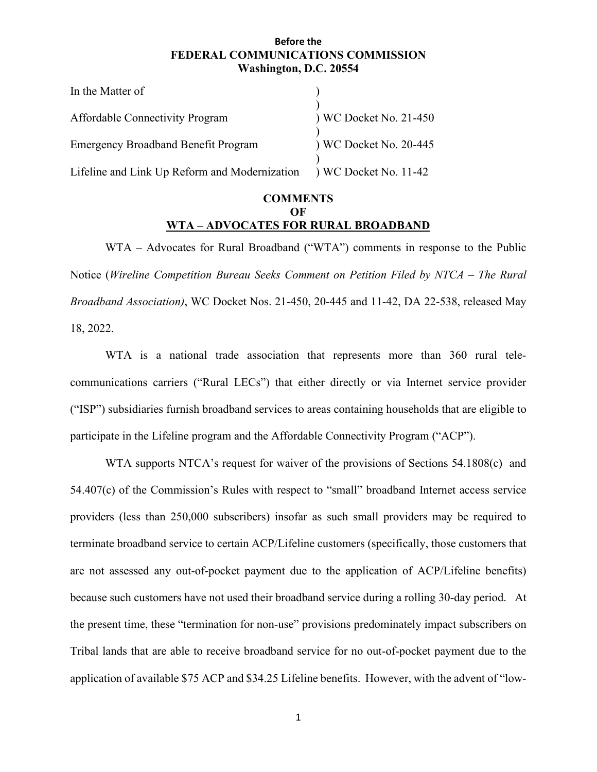#### **Before the FEDERAL COMMUNICATIONS COMMISSION Washington, D.C. 20554**

| In the Matter of                                                    |                        |
|---------------------------------------------------------------------|------------------------|
| <b>Affordable Connectivity Program</b>                              | ) WC Docket No. 21-450 |
| <b>Emergency Broadband Benefit Program</b>                          | ) WC Docket No. 20-445 |
| Lifeline and Link Up Reform and Modernization ) WC Docket No. 11-42 |                        |

## **COMMENTS OF WTA – ADVOCATES FOR RURAL BROADBAND**

WTA – Advocates for Rural Broadband ("WTA") comments in response to the Public Notice (*Wireline Competition Bureau Seeks Comment on Petition Filed by NTCA – The Rural Broadband Association)*, WC Docket Nos. 21-450, 20-445 and 11-42, DA 22-538, released May 18, 2022.

WTA is a national trade association that represents more than 360 rural telecommunications carriers ("Rural LECs") that either directly or via Internet service provider ("ISP") subsidiaries furnish broadband services to areas containing households that are eligible to participate in the Lifeline program and the Affordable Connectivity Program ("ACP").

WTA supports NTCA's request for waiver of the provisions of Sections 54.1808(c) and 54.407(c) of the Commission's Rules with respect to "small" broadband Internet access service providers (less than 250,000 subscribers) insofar as such small providers may be required to terminate broadband service to certain ACP/Lifeline customers (specifically, those customers that are not assessed any out-of-pocket payment due to the application of ACP/Lifeline benefits) because such customers have not used their broadband service during a rolling 30-day period. At the present time, these "termination for non-use" provisions predominately impact subscribers on Tribal lands that are able to receive broadband service for no out-of-pocket payment due to the application of available \$75 ACP and \$34.25 Lifeline benefits. However, with the advent of "low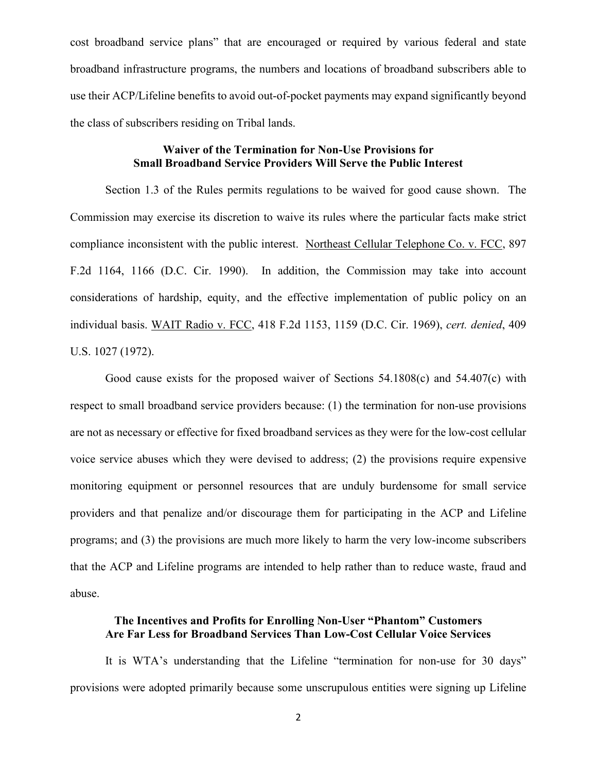cost broadband service plans" that are encouraged or required by various federal and state broadband infrastructure programs, the numbers and locations of broadband subscribers able to use their ACP/Lifeline benefits to avoid out-of-pocket payments may expand significantly beyond the class of subscribers residing on Tribal lands.

#### **Waiver of the Termination for Non-Use Provisions for Small Broadband Service Providers Will Serve the Public Interest**

Section 1.3 of the Rules permits regulations to be waived for good cause shown. The Commission may exercise its discretion to waive its rules where the particular facts make strict compliance inconsistent with the public interest. Northeast Cellular Telephone Co. v. FCC, 897 F.2d 1164, 1166 (D.C. Cir. 1990). In addition, the Commission may take into account considerations of hardship, equity, and the effective implementation of public policy on an individual basis. WAIT Radio v. FCC, 418 F.2d 1153, 1159 (D.C. Cir. 1969), *cert. denied*, 409 U.S. 1027 (1972).

Good cause exists for the proposed waiver of Sections 54.1808(c) and 54.407(c) with respect to small broadband service providers because: (1) the termination for non-use provisions are not as necessary or effective for fixed broadband services as they were for the low-cost cellular voice service abuses which they were devised to address; (2) the provisions require expensive monitoring equipment or personnel resources that are unduly burdensome for small service providers and that penalize and/or discourage them for participating in the ACP and Lifeline programs; and (3) the provisions are much more likely to harm the very low-income subscribers that the ACP and Lifeline programs are intended to help rather than to reduce waste, fraud and abuse.

#### **The Incentives and Profits for Enrolling Non-User "Phantom" Customers Are Far Less for Broadband Services Than Low-Cost Cellular Voice Services**

It is WTA's understanding that the Lifeline "termination for non-use for 30 days" provisions were adopted primarily because some unscrupulous entities were signing up Lifeline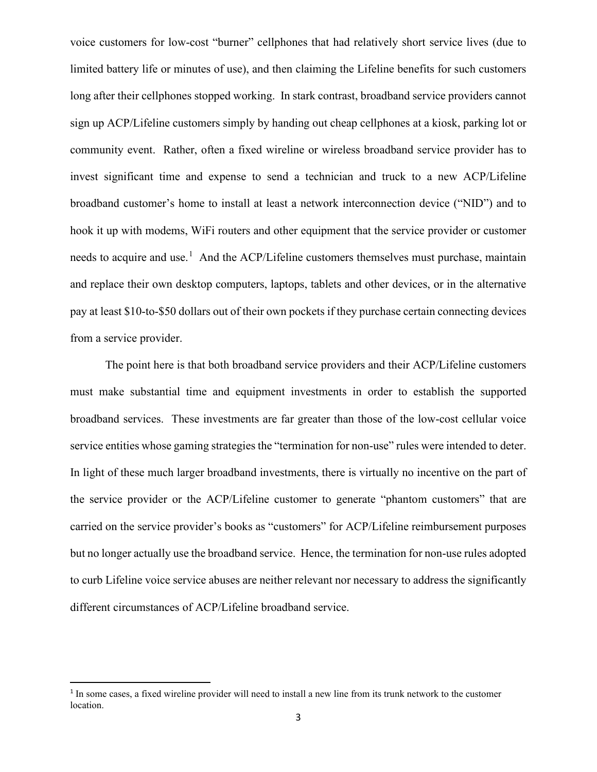voice customers for low-cost "burner" cellphones that had relatively short service lives (due to limited battery life or minutes of use), and then claiming the Lifeline benefits for such customers long after their cellphones stopped working. In stark contrast, broadband service providers cannot sign up ACP/Lifeline customers simply by handing out cheap cellphones at a kiosk, parking lot or community event. Rather, often a fixed wireline or wireless broadband service provider has to invest significant time and expense to send a technician and truck to a new ACP/Lifeline broadband customer's home to install at least a network interconnection device ("NID") and to hook it up with modems, WiFi routers and other equipment that the service provider or customer needs to acquire and use.<sup>[1](#page-2-0)</sup> And the ACP/Lifeline customers themselves must purchase, maintain and replace their own desktop computers, laptops, tablets and other devices, or in the alternative pay at least \$10-to-\$50 dollars out of their own pockets if they purchase certain connecting devices from a service provider.

The point here is that both broadband service providers and their ACP/Lifeline customers must make substantial time and equipment investments in order to establish the supported broadband services. These investments are far greater than those of the low-cost cellular voice service entities whose gaming strategies the "termination for non-use" rules were intended to deter. In light of these much larger broadband investments, there is virtually no incentive on the part of the service provider or the ACP/Lifeline customer to generate "phantom customers" that are carried on the service provider's books as "customers" for ACP/Lifeline reimbursement purposes but no longer actually use the broadband service. Hence, the termination for non-use rules adopted to curb Lifeline voice service abuses are neither relevant nor necessary to address the significantly different circumstances of ACP/Lifeline broadband service.

<span id="page-2-0"></span><sup>&</sup>lt;sup>1</sup> In some cases, a fixed wireline provider will need to install a new line from its trunk network to the customer location.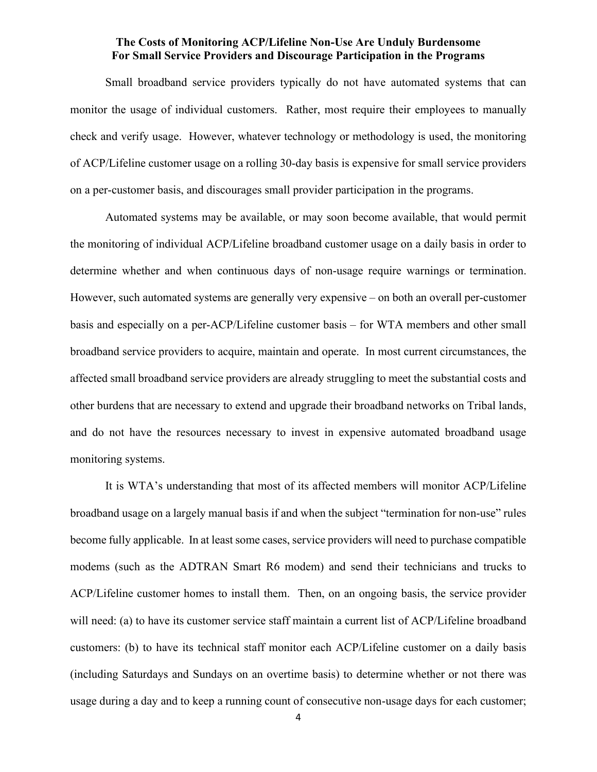#### **The Costs of Monitoring ACP/Lifeline Non-Use Are Unduly Burdensome For Small Service Providers and Discourage Participation in the Programs**

Small broadband service providers typically do not have automated systems that can monitor the usage of individual customers. Rather, most require their employees to manually check and verify usage. However, whatever technology or methodology is used, the monitoring of ACP/Lifeline customer usage on a rolling 30-day basis is expensive for small service providers on a per-customer basis, and discourages small provider participation in the programs.

Automated systems may be available, or may soon become available, that would permit the monitoring of individual ACP/Lifeline broadband customer usage on a daily basis in order to determine whether and when continuous days of non-usage require warnings or termination. However, such automated systems are generally very expensive – on both an overall per-customer basis and especially on a per-ACP/Lifeline customer basis – for WTA members and other small broadband service providers to acquire, maintain and operate. In most current circumstances, the affected small broadband service providers are already struggling to meet the substantial costs and other burdens that are necessary to extend and upgrade their broadband networks on Tribal lands, and do not have the resources necessary to invest in expensive automated broadband usage monitoring systems.

It is WTA's understanding that most of its affected members will monitor ACP/Lifeline broadband usage on a largely manual basis if and when the subject "termination for non-use" rules become fully applicable. In at least some cases, service providers will need to purchase compatible modems (such as the ADTRAN Smart R6 modem) and send their technicians and trucks to ACP/Lifeline customer homes to install them. Then, on an ongoing basis, the service provider will need: (a) to have its customer service staff maintain a current list of ACP/Lifeline broadband customers: (b) to have its technical staff monitor each ACP/Lifeline customer on a daily basis (including Saturdays and Sundays on an overtime basis) to determine whether or not there was usage during a day and to keep a running count of consecutive non-usage days for each customer;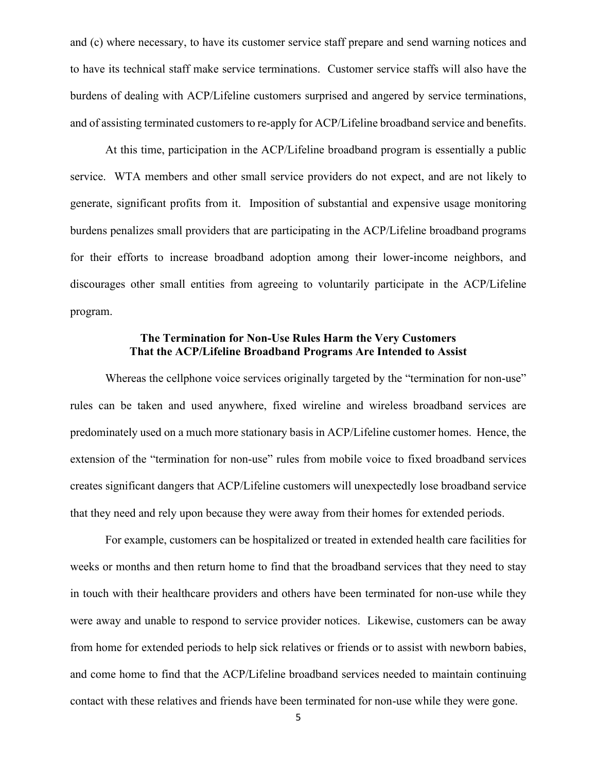and (c) where necessary, to have its customer service staff prepare and send warning notices and to have its technical staff make service terminations. Customer service staffs will also have the burdens of dealing with ACP/Lifeline customers surprised and angered by service terminations, and of assisting terminated customers to re-apply for ACP/Lifeline broadband service and benefits.

At this time, participation in the ACP/Lifeline broadband program is essentially a public service. WTA members and other small service providers do not expect, and are not likely to generate, significant profits from it. Imposition of substantial and expensive usage monitoring burdens penalizes small providers that are participating in the ACP/Lifeline broadband programs for their efforts to increase broadband adoption among their lower-income neighbors, and discourages other small entities from agreeing to voluntarily participate in the ACP/Lifeline program.

# **The Termination for Non-Use Rules Harm the Very Customers That the ACP/Lifeline Broadband Programs Are Intended to Assist**

Whereas the cellphone voice services originally targeted by the "termination for non-use" rules can be taken and used anywhere, fixed wireline and wireless broadband services are predominately used on a much more stationary basis in ACP/Lifeline customer homes. Hence, the extension of the "termination for non-use" rules from mobile voice to fixed broadband services creates significant dangers that ACP/Lifeline customers will unexpectedly lose broadband service that they need and rely upon because they were away from their homes for extended periods.

For example, customers can be hospitalized or treated in extended health care facilities for weeks or months and then return home to find that the broadband services that they need to stay in touch with their healthcare providers and others have been terminated for non-use while they were away and unable to respond to service provider notices. Likewise, customers can be away from home for extended periods to help sick relatives or friends or to assist with newborn babies, and come home to find that the ACP/Lifeline broadband services needed to maintain continuing contact with these relatives and friends have been terminated for non-use while they were gone.